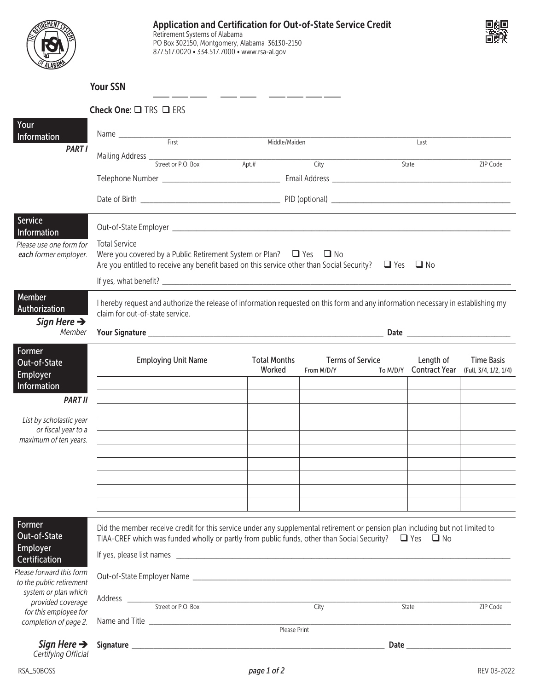

877.517.0020 • 334.517.7000 • www.rsa-al.gov



## Your SSN

|                                                      | Check One: TRS TERS                                                                                                                                                                                                                              |                               |                                       |  |                                     |                                            |  |  |
|------------------------------------------------------|--------------------------------------------------------------------------------------------------------------------------------------------------------------------------------------------------------------------------------------------------|-------------------------------|---------------------------------------|--|-------------------------------------|--------------------------------------------|--|--|
| Your<br>Information                                  |                                                                                                                                                                                                                                                  |                               |                                       |  |                                     |                                            |  |  |
| <b>PART I</b>                                        |                                                                                                                                                                                                                                                  | Middle/Maiden                 |                                       |  | Last                                |                                            |  |  |
|                                                      |                                                                                                                                                                                                                                                  | $Apt.$ #                      | City                                  |  | State                               | ZIP Code                                   |  |  |
|                                                      |                                                                                                                                                                                                                                                  |                               |                                       |  |                                     |                                            |  |  |
|                                                      |                                                                                                                                                                                                                                                  |                               |                                       |  |                                     |                                            |  |  |
| Service<br>Information                               |                                                                                                                                                                                                                                                  |                               |                                       |  |                                     |                                            |  |  |
| Please use one form for<br>each former employer.     | <b>Total Service</b><br>Were you covered by a Public Retirement System or Plan? $\Box$ Yes $\Box$ No<br>Are you entitled to receive any benefit based on this service other than Social Security? $\Box$ Yes $\Box$ No                           |                               |                                       |  |                                     |                                            |  |  |
|                                                      |                                                                                                                                                                                                                                                  |                               |                                       |  |                                     |                                            |  |  |
| Member<br>Authorization<br>Sign Here $\rightarrow$   | I hereby request and authorize the release of information requested on this form and any information necessary in establishing my<br>claim for out-of-state service.                                                                             |                               |                                       |  |                                     |                                            |  |  |
| Member                                               |                                                                                                                                                                                                                                                  |                               |                                       |  |                                     |                                            |  |  |
| Former<br>Out-of-State                               | <b>Employing Unit Name</b>                                                                                                                                                                                                                       | <b>Total Months</b><br>Worked | <b>Terms of Service</b><br>From M/D/Y |  | Length of<br>To M/D/Y Contract Year | <b>Time Basis</b><br>(Full, 3/4, 1/2, 1/4) |  |  |
| <b>Employer</b><br>Information<br><b>PART II</b>     | the control of the control of the control of the control of the control of the control of                                                                                                                                                        |                               |                                       |  |                                     |                                            |  |  |
| List by scholastic year                              |                                                                                                                                                                                                                                                  |                               |                                       |  |                                     |                                            |  |  |
| or fiscal year to a                                  |                                                                                                                                                                                                                                                  |                               |                                       |  |                                     |                                            |  |  |
| maximum of ten years.                                |                                                                                                                                                                                                                                                  |                               |                                       |  |                                     |                                            |  |  |
|                                                      |                                                                                                                                                                                                                                                  |                               |                                       |  |                                     |                                            |  |  |
|                                                      |                                                                                                                                                                                                                                                  |                               |                                       |  |                                     |                                            |  |  |
|                                                      |                                                                                                                                                                                                                                                  |                               |                                       |  |                                     |                                            |  |  |
| Former<br>Out-of-State<br>Employer                   | Did the member receive credit for this service under any supplemental retirement or pension plan including but not limited to<br>TIAA-CREF which was funded wholly or partly from public funds, other than Social Security? $\Box$ Yes $\Box$ No |                               |                                       |  |                                     |                                            |  |  |
| Certification                                        |                                                                                                                                                                                                                                                  |                               |                                       |  |                                     |                                            |  |  |
| Please forward this form<br>to the public retirement |                                                                                                                                                                                                                                                  |                               |                                       |  |                                     |                                            |  |  |
| system or plan which<br>provided coverage            | Address <u>Contractor Street or P.O. Box</u>                                                                                                                                                                                                     |                               | City                                  |  | State                               | ZIP Code                                   |  |  |
| for this employee for<br>completion of page 2.       |                                                                                                                                                                                                                                                  |                               |                                       |  |                                     |                                            |  |  |
|                                                      |                                                                                                                                                                                                                                                  | Please Print                  |                                       |  |                                     |                                            |  |  |
| Sign Here $\rightarrow$<br>Certifying Official       |                                                                                                                                                                                                                                                  |                               |                                       |  |                                     |                                            |  |  |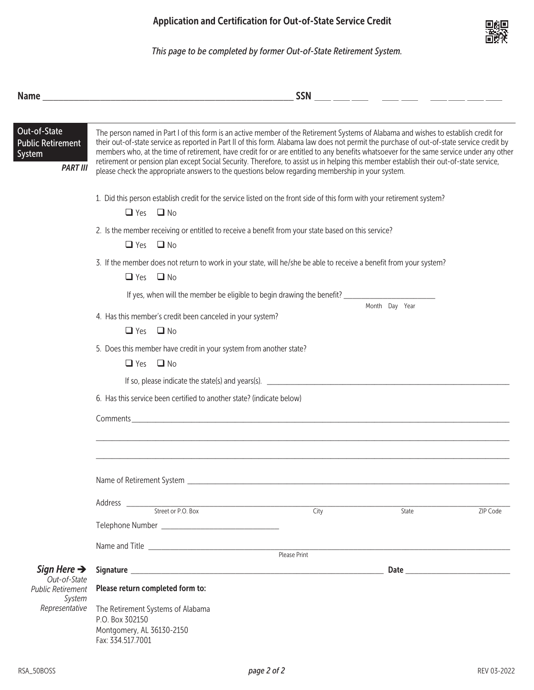

*This page to be completed by former Out-of-State Retirement System.*

|                                                                       | <b>SSN</b><br><u> 1980 - Johann Barn, mars ann an t-Amhain an t-Amhain an t-Amhain an t-Amhain an t-Amhain an t-Amhain an t-Amh</u><br><u> 1989 - Jan Barbara Barat, prima popula</u>                                                                                                                                                                                                                                                                                                                                                                                                                                                                                       |                   |       |          |  |  |  |  |  |
|-----------------------------------------------------------------------|-----------------------------------------------------------------------------------------------------------------------------------------------------------------------------------------------------------------------------------------------------------------------------------------------------------------------------------------------------------------------------------------------------------------------------------------------------------------------------------------------------------------------------------------------------------------------------------------------------------------------------------------------------------------------------|-------------------|-------|----------|--|--|--|--|--|
| Out-of-State<br><b>Public Retirement</b><br>System<br><b>PART III</b> | The person named in Part I of this form is an active member of the Retirement Systems of Alabama and wishes to establish credit for<br>their out-of-state service as reported in Part II of this form. Alabama law does not permit the purchase of out-of-state service credit by<br>members who, at the time of retirement, have credit for or are entitled to any benefits whatsoever for the same service under any other<br>retirement or pension plan except Social Security. Therefore, to assist us in helping this member establish their out-of-state service,<br>please check the appropriate answers to the questions below regarding membership in your system. |                   |       |          |  |  |  |  |  |
|                                                                       | 1. Did this person establish credit for the service listed on the front side of this form with your retirement system?<br>$\Box$ Yes $\Box$ No                                                                                                                                                                                                                                                                                                                                                                                                                                                                                                                              |                   |       |          |  |  |  |  |  |
|                                                                       | 2. Is the member receiving or entitled to receive a benefit from your state based on this service?<br>$\Box$ Yes $\Box$ No                                                                                                                                                                                                                                                                                                                                                                                                                                                                                                                                                  |                   |       |          |  |  |  |  |  |
|                                                                       | 3. If the member does not return to work in your state, will he/she be able to receive a benefit from your system?<br>$\Box$ Yes $\Box$ No                                                                                                                                                                                                                                                                                                                                                                                                                                                                                                                                  |                   |       |          |  |  |  |  |  |
|                                                                       |                                                                                                                                                                                                                                                                                                                                                                                                                                                                                                                                                                                                                                                                             |                   |       |          |  |  |  |  |  |
|                                                                       | Month Day Year<br>4. Has this member's credit been canceled in your system?<br>$\Box$ Yes $\Box$ No                                                                                                                                                                                                                                                                                                                                                                                                                                                                                                                                                                         |                   |       |          |  |  |  |  |  |
|                                                                       | 5. Does this member have credit in your system from another state?<br>$\Box$ Yes $\Box$ No                                                                                                                                                                                                                                                                                                                                                                                                                                                                                                                                                                                  |                   |       |          |  |  |  |  |  |
|                                                                       |                                                                                                                                                                                                                                                                                                                                                                                                                                                                                                                                                                                                                                                                             |                   |       |          |  |  |  |  |  |
|                                                                       | 6. Has this service been certified to another state? (indicate below)                                                                                                                                                                                                                                                                                                                                                                                                                                                                                                                                                                                                       |                   |       |          |  |  |  |  |  |
|                                                                       |                                                                                                                                                                                                                                                                                                                                                                                                                                                                                                                                                                                                                                                                             |                   |       |          |  |  |  |  |  |
|                                                                       |                                                                                                                                                                                                                                                                                                                                                                                                                                                                                                                                                                                                                                                                             |                   |       |          |  |  |  |  |  |
|                                                                       | Name of Retirement System __                                                                                                                                                                                                                                                                                                                                                                                                                                                                                                                                                                                                                                                |                   |       |          |  |  |  |  |  |
|                                                                       | Address <u>Street</u> or P.O. Box                                                                                                                                                                                                                                                                                                                                                                                                                                                                                                                                                                                                                                           | $\overline{City}$ |       |          |  |  |  |  |  |
|                                                                       |                                                                                                                                                                                                                                                                                                                                                                                                                                                                                                                                                                                                                                                                             |                   | State | ZIP Code |  |  |  |  |  |
|                                                                       |                                                                                                                                                                                                                                                                                                                                                                                                                                                                                                                                                                                                                                                                             |                   |       |          |  |  |  |  |  |
|                                                                       |                                                                                                                                                                                                                                                                                                                                                                                                                                                                                                                                                                                                                                                                             |                   |       |          |  |  |  |  |  |
| Sign Here $\rightarrow$                                               |                                                                                                                                                                                                                                                                                                                                                                                                                                                                                                                                                                                                                                                                             |                   |       |          |  |  |  |  |  |
| Out-of-State<br><b>Public Retirement</b>                              | Please return completed form to:                                                                                                                                                                                                                                                                                                                                                                                                                                                                                                                                                                                                                                            |                   |       |          |  |  |  |  |  |
| System<br>Representative                                              | The Retirement Systems of Alabama<br>P.O. Box 302150<br>Montgomery, AL 36130-2150<br>Fax: 334.517.7001                                                                                                                                                                                                                                                                                                                                                                                                                                                                                                                                                                      |                   |       |          |  |  |  |  |  |